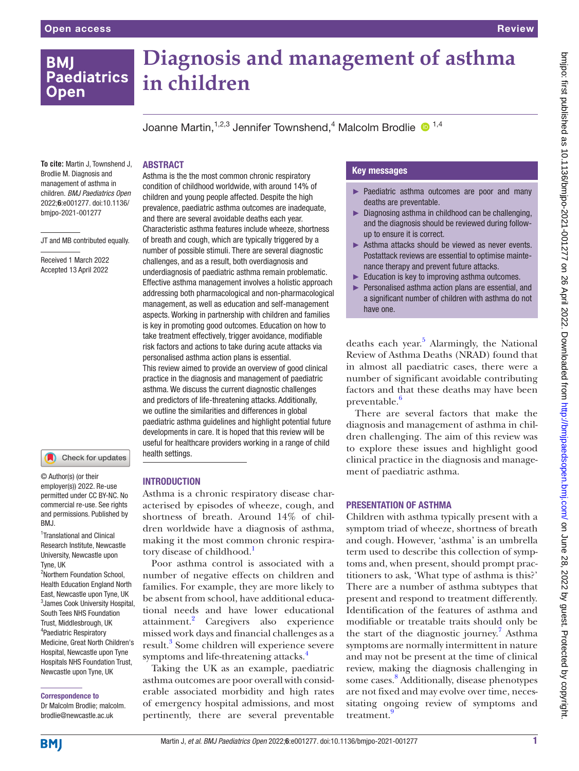# bmipo: first published as 10.1136/bmipo-2021-001277 on 26 April 2022. Downloaded from http://bmipaedsopen.bmj.com/ on June 28, 2022 by guest. Protected by copyright bmjpo: tirst published as 10.1136/bmjpo-2021-001277 on 26 April 2022. Downloaded from <http://bmjpaedsopen.bmj.com/> on June 28, 2022 by guest. Protected by copyright.

# **BMI Paediatrics Open**

# **Diagnosis and management of asthma in children**

Joanne Martin, <sup>1,2,3</sup> Jennifer Townshend, <sup>4</sup> Malcolm Brodlie <sup>in 1,4</sup>

# ABSTRACT

**To cite:** Martin J, Townshend J, Brodlie M. Diagnosis and management of asthma in children. *BMJ Paediatrics Open* 2022;6:e001277. doi:10.1136/ bmjpo-2021-001277

JT and MB contributed equally.

Received 1 March 2022 Accepted 13 April 2022



© Author(s) (or their employer(s)) 2022. Re-use permitted under CC BY-NC. No commercial re-use. See rights and permissions. Published by BMJ.

<sup>1</sup>Translational and Clinical Research Institute, Newcastle University, Newcastle upon Tyne, UK

2 Northern Foundation School, Health Education England North East, Newcastle upon Tyne, UK 3 James Cook University Hospital, South Tees NHS Foundation Trust, Middlesbrough, UK 4 Paediatric Respiratory Medicine, Great North Children's Hospital, Newcastle upon Tyne Hospitals NHS Foundation Trust, Newcastle upon Tyne, UK

#### Correspondence to

Dr Malcolm Brodlie; malcolm. brodlie@newcastle.ac.uk

Asthma is the the most common chronic respiratory condition of childhood worldwide, with around 14% of children and young people affected. Despite the high prevalence, paediatric asthma outcomes are inadequate, and there are several avoidable deaths each year. Characteristic asthma features include wheeze, shortness of breath and cough, which are typically triggered by a number of possible stimuli. There are several diagnostic challenges, and as a result, both overdiagnosis and underdiagnosis of paediatric asthma remain problematic. Effective asthma management involves a holistic approach addressing both pharmacological and non-pharmacological management, as well as education and self-management aspects. Working in partnership with children and families is key in promoting good outcomes. Education on how to take treatment effectively, trigger avoidance, modifiable risk factors and actions to take during acute attacks via personalised asthma action plans is essential. This review aimed to provide an overview of good clinical practice in the diagnosis and management of paediatric asthma. We discuss the current diagnostic challenges and predictors of life-threatening attacks. Additionally, we outline the similarities and differences in global paediatric asthma guidelines and highlight potential future developments in care. It is hoped that this review will be useful for healthcare providers working in a range of child health settings.

# **INTRODUCTION**

Asthma is a chronic respiratory disease characterised by episodes of wheeze, cough, and shortness of breath. Around 14% of children worldwide have a diagnosis of asthma, making it the most common chronic respira-tory disease of childhood.<sup>[1](#page-10-0)</sup>

Poor asthma control is associated with a number of negative effects on children and families. For example, they are more likely to be absent from school, have additional educational needs and have lower educational attainment.<sup>2</sup> Caregivers also experience missed work days and financial challenges as a result.<sup>[3](#page-10-2)</sup> Some children will experience severe symptoms and life-threatening attacks.<sup>[4](#page-10-3)</sup>

Taking the UK as an example, paediatric asthma outcomes are poor overall with considerable associated morbidity and high rates of emergency hospital admissions, and most pertinently, there are several preventable

# Key messages

- ► Paediatric asthma outcomes are poor and many deaths are preventable.
- ► Diagnosing asthma in childhood can be challenging, and the diagnosis should be reviewed during followup to ensure it is correct.
- ► Asthma attacks should be viewed as never events. Postattack reviews are essential to optimise maintenance therapy and prevent future attacks.
- ► Education is key to improving asthma outcomes.
- Personalised asthma action plans are essential, and a significant number of children with asthma do not have one.

deaths each year.<sup>[5](#page-10-4)</sup> Alarmingly, the National Review of Asthma Deaths (NRAD) found that in almost all paediatric cases, there were a number of significant avoidable contributing factors and that these deaths may have been preventable.<sup>6</sup>

There are several factors that make the diagnosis and management of asthma in children challenging. The aim of this review was to explore these issues and highlight good clinical practice in the diagnosis and management of paediatric asthma.

# PRESENTATION OF ASTHMA

Children with asthma typically present with a symptom triad of wheeze, shortness of breath and cough. However, 'asthma' is an umbrella term used to describe this collection of symptoms and, when present, should prompt practitioners to ask, 'What type of asthma is this?' There are a number of asthma subtypes that present and respond to treatment differently. Identification of the features of asthma and modifiable or treatable traits should only be the start of the diagnostic journey.<sup>[7](#page-10-6)</sup> Asthma symptoms are normally intermittent in nature and may not be present at the time of clinical review, making the diagnosis challenging in some cases. [8](#page-10-7) Additionally, disease phenotypes are not fixed and may evolve over time, necessitating ongoing review of symptoms and treatment.<sup>[9](#page-10-8)</sup>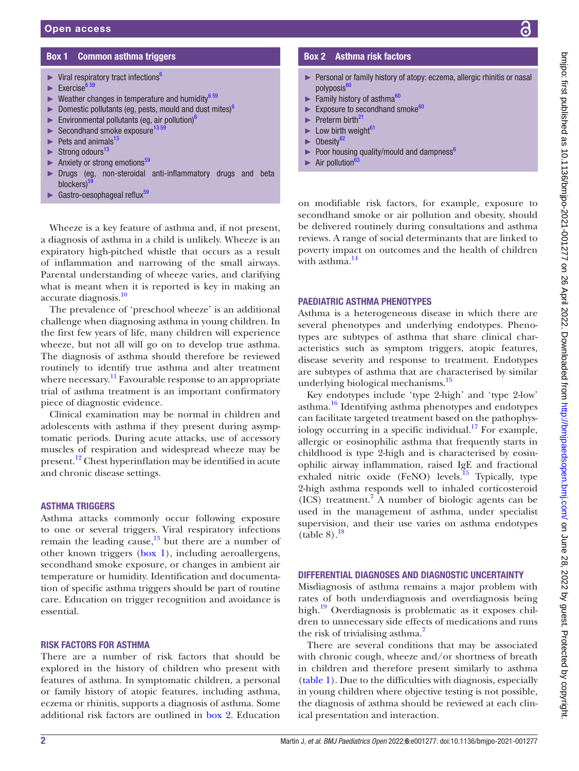# Box 1 Common asthma triggers

- <span id="page-1-0"></span> $\blacktriangleright$  Viral respiratory tract infections<sup>6</sup>
- Exercise<sup>[6 59](#page-10-5)</sup>
- Weather changes in temperature and humidity $6\frac{59}{2}$
- ► Domestic pollutants (eg, pests, mould and dust mites) $<sup>6</sup>$ </sup>
- Environmental pollutants (eg, air pollution) $^6$  $^6$
- $\blacktriangleright$  Secondhand smoke exposure<sup>13</sup>
- $\blacktriangleright$  Pets and animals<sup>[13](#page-10-12)</sup>
- $\blacktriangleright$  Strong odours<sup>[13](#page-10-12)</sup>
- Anxiety or strong emotions<sup>[59](#page-11-0)</sup>
- Drugs (eg, non-steroidal anti-inflammatory drugs and beta blockers)<sup>5</sup>
- Gastro-oesophageal reflux<sup>[59](#page-11-0)</sup>

# Box 2 Asthma risk factors

- <span id="page-1-1"></span>► Personal or family history of atopy: eczema, allergic rhinitis or nasal polyposis<sup>[60](#page-11-1)</sup>
- $\blacktriangleright$  Family history of asthma $60$
- Exposure to secondhand smoke<sup>[60](#page-11-1)</sup>
- $\blacktriangleright$  Preterm birth<sup>[21](#page-10-19)</sup>
- $\blacktriangleright$  Low birth weight<sup>[61](#page-11-2)</sup>
- $\blacktriangleright$  Obesity<sup>[62](#page-11-3)</sup>
- $\blacktriangleright$  Poor housing quality/mould and dampness<sup>6</sup>
- Air pollution<sup>6</sup>

Wheeze is a key feature of asthma and, if not present, a diagnosis of asthma in a child is unlikely. Wheeze is an expiratory high-pitched whistle that occurs as a result of inflammation and narrowing of the small airways. Parental understanding of wheeze varies, and clarifying what is meant when it is reported is key in making an accurate diagnosis.<sup>10</sup>

The prevalence of 'preschool wheeze' is an additional challenge when diagnosing asthma in young children. In the first few years of life, many children will experience wheeze, but not all will go on to develop true asthma. The diagnosis of asthma should therefore be reviewed routinely to identify true asthma and alter treatment where necessary.<sup>[11](#page-10-10)</sup> Favourable response to an appropriate trial of asthma treatment is an important confirmatory piece of diagnostic evidence.

Clinical examination may be normal in children and adolescents with asthma if they present during asymptomatic periods. During acute attacks, use of accessory muscles of respiration and widespread wheeze may be present.<sup>[12](#page-10-11)</sup> Chest hyperinflation may be identified in acute and chronic disease settings.

#### ASTHMA TRIGGERS

Asthma attacks commonly occur following exposure to one or several triggers. Viral respiratory infections remain the leading cause, $13$  but there are a number of other known triggers ([box](#page-1-0) 1), including aeroallergens, secondhand smoke exposure, or changes in ambient air temperature or humidity. Identification and documentation of specific asthma triggers should be part of routine care. Education on trigger recognition and avoidance is essential.

#### RISK FACTORS FOR ASTHMA

There are a number of risk factors that should be explored in the history of children who present with features of asthma. In symptomatic children, a personal or family history of atopic features, including asthma, eczema or rhinitis, supports a diagnosis of asthma. Some additional risk factors are outlined in [box](#page-1-1) 2. Education

on modifiable risk factors, for example, exposure to secondhand smoke or air pollution and obesity, should be delivered routinely during consultations and asthma reviews. A range of social determinants that are linked to poverty impact on outcomes and the health of children with asthma. $\frac{14}{14}$ 

# PAEDIATRIC ASTHMA PHENOTYPES

Asthma is a heterogeneous disease in which there are several phenotypes and underlying endotypes. Phenotypes are subtypes of asthma that share clinical characteristics such as symptom triggers, atopic features, disease severity and response to treatment. Endotypes are subtypes of asthma that are characterised by similar underlying biological mechanisms.<sup>15</sup>

Key endotypes include 'type 2-high' and 'type 2-low' asthma.<sup>16</sup> Identifying asthma phenotypes and endotypes can facilitate targeted treatment based on the pathophysiology occurring in a specific individual.<sup>17</sup> For example, allergic or eosinophilic asthma that frequently starts in childhood is type 2-high and is characterised by eosinophilic airway inflammation, raised IgE and fractional exhaled nitric oxide (FeNO) levels.<sup>15</sup> Typically, type 2-high asthma responds well to inhaled corticosteroid (ICS) treatment[.7](#page-10-6) A number of biologic agents can be used in the management of asthma, under specialist supervision, and their use varies on asthma endotypes  $(table 8).<sup>18</sup>$ 

# DIFFERENTIAL DIAGNOSES AND DIAGNOSTIC UNCERTAINTY

Misdiagnosis of asthma remains a major problem with rates of both underdiagnosis and overdiagnosis being high.<sup>19</sup> Overdiagnosis is problematic as it exposes children to unnecessary side effects of medications and runs the risk of trivialising asthma.<sup>7</sup>

There are several conditions that may be associated with chronic cough, wheeze and/or shortness of breath in children and therefore present similarly to asthma [\(table](#page-2-0) 1). Due to the difficulties with diagnosis, especially in young children where objective testing is not possible, the diagnosis of asthma should be reviewed at each clinical presentation and interaction.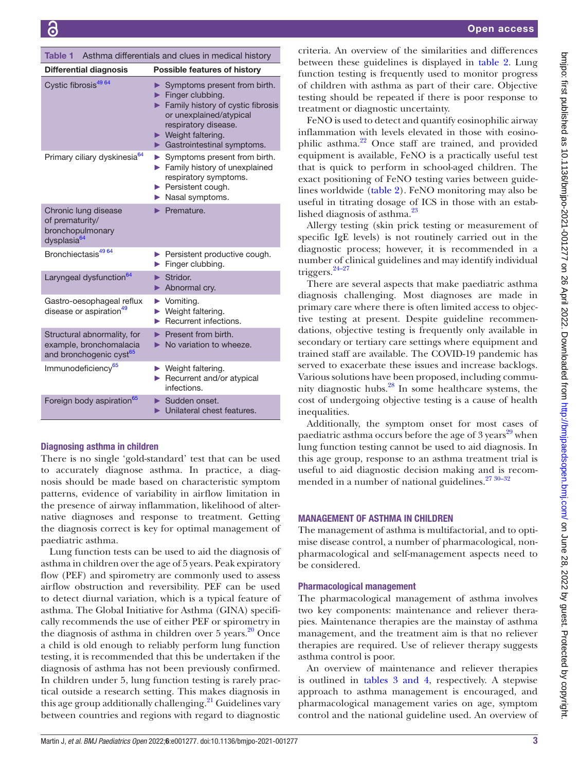| <b>Differential diagnosis</b>                                                                 | <b>Possible features of history</b>                                                                                                                                                                                                |
|-----------------------------------------------------------------------------------------------|------------------------------------------------------------------------------------------------------------------------------------------------------------------------------------------------------------------------------------|
| Cystic fibrosis <sup>49 64</sup>                                                              | $\triangleright$ Symptoms present from birth.<br>Finger clubbing.<br>Family history of cystic fibrosis<br>or unexplained/atypical<br>respiratory disease.<br>$\blacktriangleright$ Weight faltering.<br>Gastrointestinal symptoms. |
| Primary ciliary dyskinesia <sup>64</sup>                                                      | Symptoms present from birth.<br>Family history of unexplained<br>respiratory symptoms.<br>$\blacktriangleright$ Persistent cough.<br>Nasal symptoms.                                                                               |
| Chronic lung disease<br>of prematurity/<br>bronchopulmonary<br>dysplasia <sup>64</sup>        | Premature.                                                                                                                                                                                                                         |
| Bronchiectasis <sup>49 64</sup>                                                               | Persistent productive cough.<br>Finger clubbing.                                                                                                                                                                                   |
| Laryngeal dysfunction <sup>64</sup>                                                           | $\blacktriangleright$ Stridor.<br>Abnormal cry.                                                                                                                                                                                    |
| Gastro-oesophageal reflux<br>disease or aspiration <sup>49</sup>                              | $\blacktriangleright$ Vomiting.<br>▶ Weight faltering.<br>$\blacktriangleright$ Recurrent infections.                                                                                                                              |
| Structural abnormality, for<br>example, bronchomalacia<br>and bronchogenic cyst <sup>65</sup> | $\blacktriangleright$ Present from birth.<br>$\triangleright$ No variation to wheeze.                                                                                                                                              |
| Immunodeficiency <sup>65</sup>                                                                | $\blacktriangleright$ Weight faltering.<br>Recurrent and/or atypical<br>infections.                                                                                                                                                |
| Foreign body aspiration <sup>65</sup>                                                         | $\blacktriangleright$ Sudden onset.<br>Unilateral chest features.                                                                                                                                                                  |

<span id="page-2-0"></span>Table 1 Asthma differentials and clues in medical history

# Diagnosing asthma in children

There is no single 'gold-standard' test that can be used to accurately diagnose asthma. In practice, a diagnosis should be made based on characteristic symptom patterns, evidence of variability in airflow limitation in the presence of airway inflammation, likelihood of alternative diagnoses and response to treatment. Getting the diagnosis correct is key for optimal management of paediatric asthma.

Lung function tests can be used to aid the diagnosis of asthma in children over the age of 5 years. Peak expiratory flow (PEF) and spirometry are commonly used to assess airflow obstruction and reversibility. PEF can be used to detect diurnal variation, which is a typical feature of asthma. The Global Initiative for Asthma (GINA) specifically recommends the use of either PEF or spirometry in the diagnosis of asthma in children over  $5$  years.<sup>20</sup> Once a child is old enough to reliably perform lung function testing, it is recommended that this be undertaken if the diagnosis of asthma has not been previously confirmed. In children under 5, lung function testing is rarely practical outside a research setting. This makes diagnosis in this age group additionally challenging. $^{21}$  Guidelines vary between countries and regions with regard to diagnostic

criteria. An overview of the similarities and differences between the guidelines is displayed in [table](#page-3-0) 2. Lung ing is frequently used to monitor progress vith asthma as part of their care. Objective d be repeated if there is poor response to diagnostic uncertainty.

ed to detect and quantify eosinophilic airway with levels elevated in those with eosinoa.<sup>22</sup> Once staff are trained, and provided available, FeNO is a practically useful test to perform in school-aged children. The hing of FeNO testing varies between guidede ([table](#page-3-0) 2). FeNO monitoring may also be ating dosage of ICS in those with an estab- $\mathrm{e}$ sis of asthma. $^{23}$ 

ing (skin prick testing or measurement of levels) is not routinely carried out in the rocess; however, it is recommended in a inical guidelines and may identify individual

several aspects that make paediatric asthma allenging. Most diagnoses are made in where there is often limited access to objecat present. Despite guideline recommenctive testing is frequently only available in tertiary care settings where equipment and are available. The COVID-19 pandemic has cerbate these issues and increase backlogs. ons have been proposed, including commuic hubs. $^{28}$  $^{28}$  $^{28}$  In some healthcare systems, the cost of health inequalities.

Additionally, the symptom onset for most cases of paediatric asthma occurs before the age of 3 years<sup>29</sup> when lung function testing cannot be used to aid diagnosis. In this age group, response to an asthma treatment trial is useful to aid diagnostic decision making and is recommended in a number of national guidelines. $2730-32$ 

# MANAGEMENT OF ASTHMA IN CHILDREN

The management of asthma is multifactorial, and to optimise disease control, a number of pharmacological, nonpharmacological and self-management aspects need to be considered.

### Pharmacological management

The pharmacological management of asthma involves two key components: maintenance and reliever therapies. Maintenance therapies are the mainstay of asthma management, and the treatment aim is that no reliever therapies are required. Use of reliever therapy suggests asthma control is poor.

An overview of maintenance and reliever therapies is outlined in tables [3 and 4](#page-5-0), respectively. A stepwise approach to asthma management is encouraged, and pharmacological management varies on age, symptom control and the national guideline used. An overview of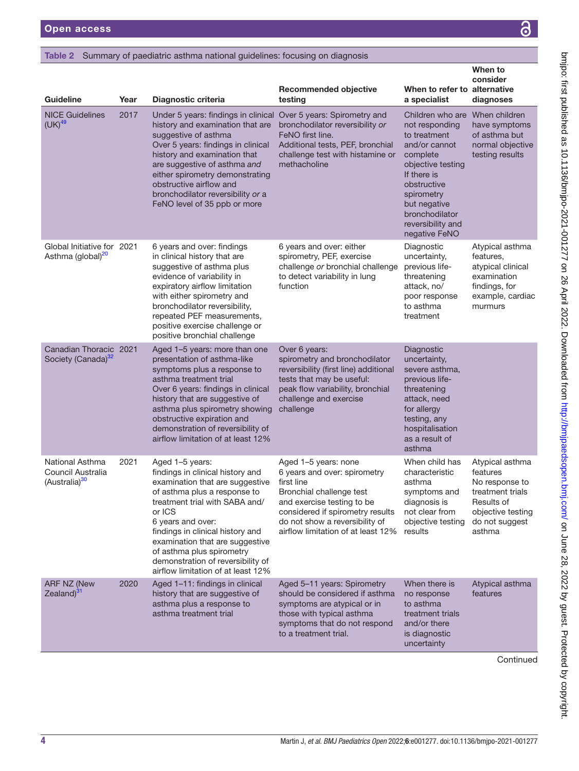# <span id="page-3-0"></span>Table 2 Summary of paediatric asthma national guidelines: focusing on diagnosis

| Guideline                                                         | Year | Diagnostic criteria                                                                                                                                                                                                                                                                                                                                                    | <b>Recommended objective</b><br>testing                                                                                                                                                                                                  | When to refer to alternative<br>a specialist                                                                                                                                                                                           | When to<br>consider<br>diagnoses                                                                                                 |
|-------------------------------------------------------------------|------|------------------------------------------------------------------------------------------------------------------------------------------------------------------------------------------------------------------------------------------------------------------------------------------------------------------------------------------------------------------------|------------------------------------------------------------------------------------------------------------------------------------------------------------------------------------------------------------------------------------------|----------------------------------------------------------------------------------------------------------------------------------------------------------------------------------------------------------------------------------------|----------------------------------------------------------------------------------------------------------------------------------|
| <b>NICE Guidelines</b><br>$(UK)^{49}$                             | 2017 | Under 5 years: findings in clinical Over 5 years: Spirometry and<br>history and examination that are<br>suggestive of asthma<br>Over 5 years: findings in clinical<br>history and examination that<br>are suggestive of asthma and<br>either spirometry demonstrating<br>obstructive airflow and<br>bronchodilator reversibility or a<br>FeNO level of 35 ppb or more  | bronchodilator reversibility or<br>FeNO first line.<br>Additional tests, PEF, bronchial<br>challenge test with histamine or<br>methacholine                                                                                              | Children who are When children<br>not responding<br>to treatment<br>and/or cannot<br>complete<br>objective testing<br>If there is<br>obstructive<br>spirometry<br>but negative<br>bronchodilator<br>reversibility and<br>negative FeNO | have symptoms<br>of asthma but<br>normal objective<br>testing results                                                            |
| Global Initiative for 2021<br>Asthma (global) <sup>20</sup>       |      | 6 years and over: findings<br>in clinical history that are<br>suggestive of asthma plus<br>evidence of variability in<br>expiratory airflow limitation<br>with either spirometry and<br>bronchodilator reversibility,<br>repeated PEF measurements,<br>positive exercise challenge or<br>positive bronchial challenge                                                  | 6 years and over: either<br>spirometry, PEF, exercise<br>challenge or bronchial challenge<br>to detect variability in lung<br>function                                                                                                   | Diagnostic<br>uncertainty,<br>previous life-<br>threatening<br>attack, no/<br>poor response<br>to asthma<br>treatment                                                                                                                  | Atypical asthma<br>features,<br>atypical clinical<br>examination<br>findings, for<br>example, cardiac<br>murmurs                 |
| Canadian Thoracic 2021<br>Society (Canada) <sup>32</sup>          |      | Aged 1-5 years: more than one<br>presentation of asthma-like<br>symptoms plus a response to<br>asthma treatment trial<br>Over 6 years: findings in clinical<br>history that are suggestive of<br>asthma plus spirometry showing<br>obstructive expiration and<br>demonstration of reversibility of<br>airflow limitation of at least 12%                               | Over 6 years:<br>spirometry and bronchodilator<br>reversibility (first line) additional<br>tests that may be useful:<br>peak flow variability, bronchial<br>challenge and exercise<br>challenge                                          | Diagnostic<br>uncertainty,<br>severe asthma,<br>previous life-<br>threatening<br>attack, need<br>for allergy<br>testing, any<br>hospitalisation<br>as a result of<br>asthma                                                            |                                                                                                                                  |
| National Asthma<br>Council Australia<br>(Australia) <sup>30</sup> | 2021 | Aged 1-5 years:<br>findings in clinical history and<br>examination that are suggestive<br>of asthma plus a response to<br>treatment trial with SABA and/<br>or ICS<br>6 years and over:<br>findings in clinical history and<br>examination that are suggestive<br>of asthma plus spirometry<br>demonstration of reversibility of<br>airflow limitation of at least 12% | Aged 1-5 years: none<br>6 years and over: spirometry<br>first line<br>Bronchial challenge test<br>and exercise testing to be<br>considered if spirometry results<br>do not show a reversibility of<br>airflow limitation of at least 12% | When child has<br>characteristic<br>asthma<br>symptoms and<br>diagnosis is<br>not clear from<br>objective testing<br>results                                                                                                           | Atypical asthma<br>features<br>No response to<br>treatment trials<br>Results of<br>objective testing<br>do not suggest<br>asthma |
| <b>ARF NZ (New</b><br>Zealand) <sup>31</sup>                      | 2020 | Aged 1-11: findings in clinical<br>history that are suggestive of<br>asthma plus a response to<br>asthma treatment trial                                                                                                                                                                                                                                               | Aged 5-11 years: Spirometry<br>should be considered if asthma<br>symptoms are atypical or in<br>those with typical asthma<br>symptoms that do not respond<br>to a treatment trial.                                                       | When there is<br>no response<br>to asthma<br>treatment trials<br>and/or there<br>is diagnostic<br>uncertainty                                                                                                                          | Atypical asthma<br>features                                                                                                      |

**Continued**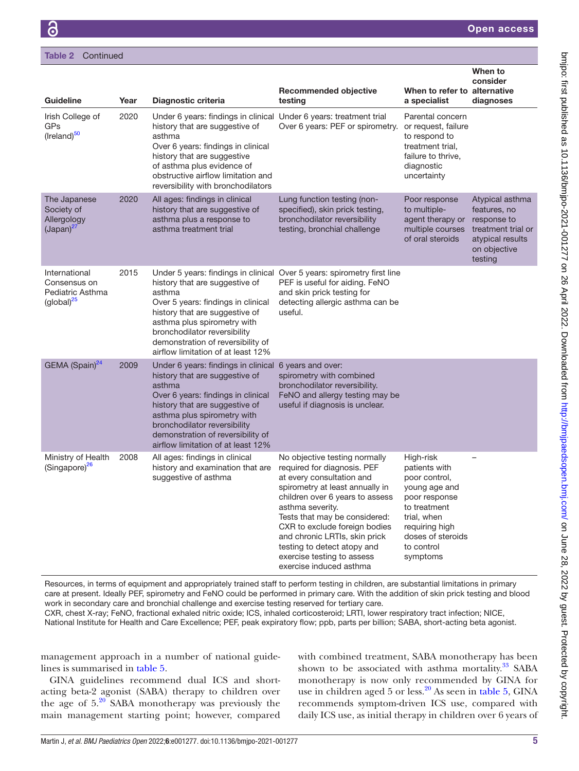| <b>Guideline</b>                                                                       | Year | Diagnostic criteria                                                                                                                                                                                                                                                                                                 | <b>Recommended objective</b><br>testing                                                                                                                                                                                                                                                                                                                                        | When to refer to alternative<br>a specialist                                                                                                                                  | When to<br>consider<br>diagnoses                                                                                    |
|----------------------------------------------------------------------------------------|------|---------------------------------------------------------------------------------------------------------------------------------------------------------------------------------------------------------------------------------------------------------------------------------------------------------------------|--------------------------------------------------------------------------------------------------------------------------------------------------------------------------------------------------------------------------------------------------------------------------------------------------------------------------------------------------------------------------------|-------------------------------------------------------------------------------------------------------------------------------------------------------------------------------|---------------------------------------------------------------------------------------------------------------------|
| Irish College of<br><b>GPs</b><br>(Ireland) <sup>50</sup>                              | 2020 | Under 6 years: findings in clinical Under 6 years: treatment trial<br>history that are suggestive of<br>asthma<br>Over 6 years: findings in clinical<br>history that are suggestive<br>of asthma plus evidence of<br>obstructive airflow limitation and<br>reversibility with bronchodilators                       | Over 6 years: PEF or spirometry.                                                                                                                                                                                                                                                                                                                                               | Parental concern<br>or request, failure<br>to respond to<br>treatment trial,<br>failure to thrive.<br>diagnostic<br>uncertainty                                               |                                                                                                                     |
| The Japanese<br>Society of<br>Allergology<br>$(Japan)^{27}$                            | 2020 | All ages: findings in clinical<br>history that are suggestive of<br>asthma plus a response to<br>asthma treatment trial                                                                                                                                                                                             | Lung function testing (non-<br>specified), skin prick testing,<br>bronchodilator reversibility<br>testing, bronchial challenge                                                                                                                                                                                                                                                 | Poor response<br>to multiple-<br>agent therapy or<br>multiple courses<br>of oral steroids                                                                                     | Atypical asthma<br>features, no<br>response to<br>treatment trial or<br>atypical results<br>on objective<br>testing |
| International<br>Consensus on<br>Pediatric Asthma<br>$\left(\text{global}\right)^{25}$ | 2015 | history that are suggestive of<br>asthma<br>Over 5 years: findings in clinical<br>history that are suggestive of<br>asthma plus spirometry with<br>bronchodilator reversibility<br>demonstration of reversibility of<br>airflow limitation of at least 12%                                                          | Under 5 years: findings in clinical Over 5 years: spirometry first line<br>PEF is useful for aiding. FeNO<br>and skin prick testing for<br>detecting allergic asthma can be<br>useful.                                                                                                                                                                                         |                                                                                                                                                                               |                                                                                                                     |
| GEMA (Spain) <sup>24</sup>                                                             | 2009 | Under 6 years: findings in clinical 6 years and over:<br>history that are suggestive of<br>asthma<br>Over 6 years: findings in clinical<br>history that are suggestive of<br>asthma plus spirometry with<br>bronchodilator reversibility<br>demonstration of reversibility of<br>airflow limitation of at least 12% | spirometry with combined<br>bronchodilator reversibility.<br>FeNO and allergy testing may be<br>useful if diagnosis is unclear.                                                                                                                                                                                                                                                |                                                                                                                                                                               |                                                                                                                     |
| Ministry of Health<br>(Singapore) <sup>26</sup>                                        | 2008 | All ages: findings in clinical<br>history and examination that are<br>suggestive of asthma                                                                                                                                                                                                                          | No objective testing normally<br>required for diagnosis. PEF<br>at every consultation and<br>spirometry at least annually in<br>children over 6 years to assess<br>asthma severity.<br>Tests that may be considered:<br>CXR to exclude foreign bodies<br>and chronic LRTIs, skin prick<br>testing to detect atopy and<br>exercise testing to assess<br>exercise induced asthma | High-risk<br>patients with<br>poor control,<br>young age and<br>poor response<br>to treatment<br>trial, when<br>requiring high<br>doses of steroids<br>to control<br>symptoms |                                                                                                                     |

Resources, in terms of equipment and appropriately trained staff to perform testing in children, are substantial limitations in primary care at present. Ideally PEF, spirometry and FeNO could be performed in primary care. With the addition of skin prick testing and blood work in secondary care and bronchial challenge and exercise testing reserved for tertiary care.

CXR, chest X-ray; FeNO, fractional exhaled nitric oxide; ICS, inhaled corticosteroid; LRTI, lower respiratory tract infection; NICE, National Institute for Health and Care Excellence; PEF, peak expiratory flow; ppb, parts per billion; SABA, short-acting beta agonist.

management approach in a number of national guidelines is summarised in [table](#page-6-0) 5.

GINA guidelines recommend dual ICS and shortacting beta-2 agonist (SABA) therapy to children over the age of  $5.^{20}$  SABA monotherapy was previously the main management starting point; however, compared

with combined treatment, SABA monotherapy has been shown to be associated with asthma mortality.<sup>33</sup> SABA monotherapy is now only recommended by GINA for use in children aged 5 or less.<sup>20</sup> As seen in [table](#page-6-0) 5, GINA recommends symptom-driven ICS use, compared with daily ICS use, as initial therapy in children over 6 years of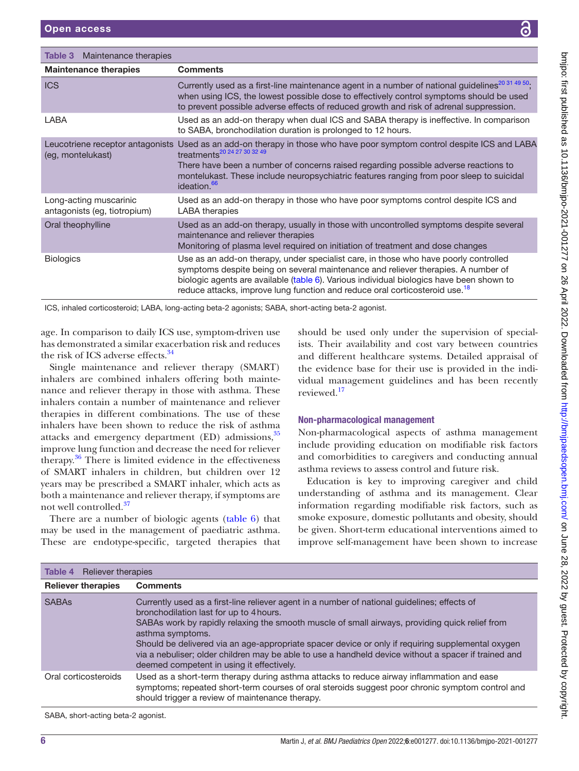<span id="page-5-0"></span>

| Maintenance therapies<br>Table 3                       |                                                                                                                                                                                                                                                                                                                                                                  |
|--------------------------------------------------------|------------------------------------------------------------------------------------------------------------------------------------------------------------------------------------------------------------------------------------------------------------------------------------------------------------------------------------------------------------------|
| <b>Maintenance therapies</b>                           | <b>Comments</b>                                                                                                                                                                                                                                                                                                                                                  |
| <b>ICS</b>                                             | Currently used as a first-line maintenance agent in a number of national guidelines <sup>20 31 49 50</sup> ;<br>when using ICS, the lowest possible dose to effectively control symptoms should be used<br>to prevent possible adverse effects of reduced growth and risk of adrenal suppression.                                                                |
| LABA                                                   | Used as an add-on therapy when dual ICS and SABA therapy is ineffective. In comparison<br>to SABA, bronchodilation duration is prolonged to 12 hours.                                                                                                                                                                                                            |
| Leucotriene receptor antagonists<br>(eg, montelukast)  | Used as an add-on therapy in those who have poor symptom control despite ICS and LABA<br>treatments <sup>20</sup> 24 27 30 32 49<br>There have been a number of concerns raised regarding possible adverse reactions to<br>montelukast. These include neuropsychiatric features ranging from poor sleep to suicidal<br>ideation. <sup>66</sup>                   |
| Long-acting muscarinic<br>antagonists (eg. tiotropium) | Used as an add-on therapy in those who have poor symptoms control despite ICS and<br>LABA therapies                                                                                                                                                                                                                                                              |
| Oral theophylline                                      | Used as an add-on therapy, usually in those with uncontrolled symptoms despite several<br>maintenance and reliever therapies<br>Monitoring of plasma level required on initiation of treatment and dose changes                                                                                                                                                  |
| <b>Biologics</b>                                       | Use as an add-on therapy, under specialist care, in those who have poorly controlled<br>symptoms despite being on several maintenance and reliever therapies. A number of<br>biologic agents are available (table 6). Various individual biologics have been shown to<br>reduce attacks, improve lung function and reduce oral corticosteroid use. <sup>18</sup> |
|                                                        | $ICC$ inholed corrigooteraid: $IADA$ leng seting beta 2 agenieta: $CADA$ about seting beta 2 ageniet                                                                                                                                                                                                                                                             |

ICS, inhaled corticosteroid; LABA, long-acting beta-2 agonists; SABA, short-acting beta-2 agonist.

age. In comparison to daily ICS use, symptom-driven use has demonstrated a similar exacerbation risk and reduces the risk of ICS adverse effects.<sup>[34](#page-10-33)</sup>

Single maintenance and reliever therapy (SMART) inhalers are combined inhalers offering both maintenance and reliever therapy in those with asthma. These inhalers contain a number of maintenance and reliever therapies in different combinations. The use of these inhalers have been shown to reduce the risk of asthma attacks and emergency department  $(ED)$  admissions,  $35$ improve lung function and decrease the need for reliever therapy. $36$  There is limited evidence in the effectiveness of SMART inhalers in children, but children over 12 years may be prescribed a SMART inhaler, which acts as both a maintenance and reliever therapy, if symptoms are not well controlled[.37](#page-11-9)

There are a number of biologic agents ([table](#page-8-0) 6) that may be used in the management of paediatric asthma. These are endotype-specific, targeted therapies that

should be used only under the supervision of specialists. Their availability and cost vary between countries and different healthcare systems. Detailed appraisal of the evidence base for their use is provided in the individual management guidelines and has been recently reviewed.[17](#page-10-16)

# Non-pharmacological management

Non-pharmacological aspects of asthma management include providing education on modifiable risk factors and comorbidities to caregivers and conducting annual asthma reviews to assess control and future risk.

Education is key to improving caregiver and child understanding of asthma and its management. Clear information regarding modifiable risk factors, such as smoke exposure, domestic pollutants and obesity, should be given. Short-term educational interventions aimed to improve self-management have been shown to increase

| <b>Table 4</b> Reliever therapies |                                                                                                                                                                                                                                                                                                                                                                                                                                                                                                                         |
|-----------------------------------|-------------------------------------------------------------------------------------------------------------------------------------------------------------------------------------------------------------------------------------------------------------------------------------------------------------------------------------------------------------------------------------------------------------------------------------------------------------------------------------------------------------------------|
| <b>Reliever therapies</b>         | <b>Comments</b>                                                                                                                                                                                                                                                                                                                                                                                                                                                                                                         |
| <b>SABAs</b>                      | Currently used as a first-line reliever agent in a number of national guidelines; effects of<br>bronchodilation last for up to 4 hours.<br>SABAs work by rapidly relaxing the smooth muscle of small airways, providing quick relief from<br>asthma symptoms.<br>Should be delivered via an age-appropriate spacer device or only if requiring supplemental oxygen<br>via a nebuliser; older children may be able to use a handheld device without a spacer if trained and<br>deemed competent in using it effectively. |
| Oral corticosteroids              | Used as a short-term therapy during asthma attacks to reduce airway inflammation and ease<br>symptoms; repeated short-term courses of oral steroids suggest poor chronic symptom control and<br>should trigger a review of maintenance therapy.                                                                                                                                                                                                                                                                         |

SABA, short-acting beta-2 agonist.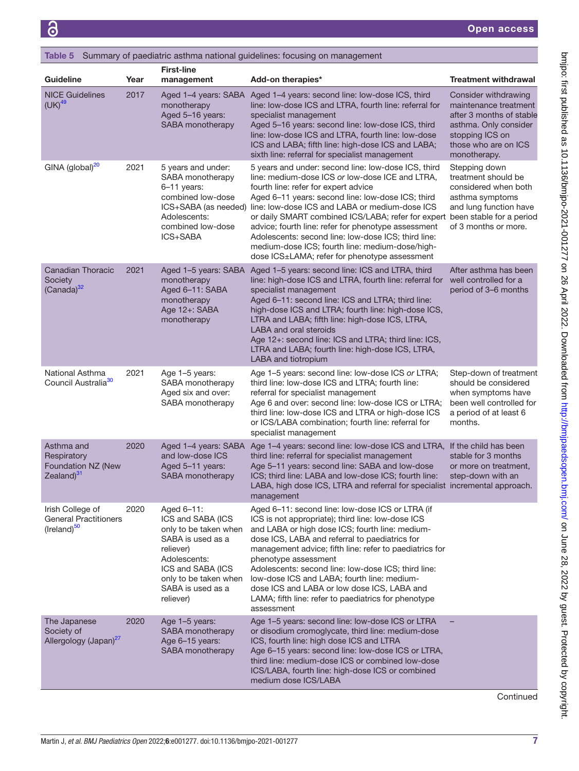<span id="page-6-0"></span>

|                                                                             |      |                                                                                                                                                                                            | <b>Table 5</b> Summary of paediatric asthma national guidelines: focusing on management                                                                                                                                                                                                                                                                                                                                                                                                                                                                                     |                                                                                                                                                               |
|-----------------------------------------------------------------------------|------|--------------------------------------------------------------------------------------------------------------------------------------------------------------------------------------------|-----------------------------------------------------------------------------------------------------------------------------------------------------------------------------------------------------------------------------------------------------------------------------------------------------------------------------------------------------------------------------------------------------------------------------------------------------------------------------------------------------------------------------------------------------------------------------|---------------------------------------------------------------------------------------------------------------------------------------------------------------|
| Guideline                                                                   | Year | <b>First-line</b><br>management                                                                                                                                                            | Add-on therapies*                                                                                                                                                                                                                                                                                                                                                                                                                                                                                                                                                           | <b>Treatment withdrawal</b>                                                                                                                                   |
| <b>NICE Guidelines</b><br>$(UK)^{49}$                                       | 2017 | Aged 1-4 years: SABA<br>monotherapy<br>Aged 5-16 years:<br>SABA monotherapy                                                                                                                | Aged 1-4 years: second line: low-dose ICS, third<br>line: low-dose ICS and LTRA, fourth line: referral for<br>specialist management<br>Aged 5-16 years: second line: low-dose ICS, third<br>line: low-dose ICS and LTRA, fourth line: low-dose<br>ICS and LABA; fifth line: high-dose ICS and LABA;<br>sixth line: referral for specialist management                                                                                                                                                                                                                       | Consider withdrawing<br>maintenance treatment<br>after 3 months of stable<br>asthma. Only consider<br>stopping ICS on<br>those who are on ICS<br>monotherapy. |
| GINA (global) <sup>20</sup>                                                 | 2021 | 5 years and under:<br>SABA monotherapy<br>6–11 years:<br>combined low-dose<br>Adolescents:<br>combined low-dose<br>ICS+SABA                                                                | 5 years and under: second line: low-dose ICS, third<br>line: medium-dose ICS or low-dose ICE and LTRA,<br>fourth line: refer for expert advice<br>Aged 6-11 years: second line: low-dose ICS; third<br>ICS+SABA (as needed) line: low-dose ICS and LABA or medium-dose ICS<br>or daily SMART combined ICS/LABA; refer for expert been stable for a period<br>advice; fourth line: refer for phenotype assessment<br>Adolescents: second line: low-dose ICS; third line:<br>medium-dose ICS; fourth line: medium-dose/high-<br>dose ICS±LAMA; refer for phenotype assessment | Stepping down<br>treatment should be<br>considered when both<br>asthma symptoms<br>and lung function have<br>of 3 months or more.                             |
| <b>Canadian Thoracic</b><br>Society<br>$(Canada)^{32}$                      | 2021 | Aged 1-5 years: SABA<br>monotherapy<br>Aged 6-11: SABA<br>monotherapy<br>Age 12+: SABA<br>monotherapy                                                                                      | Aged 1-5 years: second line: ICS and LTRA, third<br>line: high-dose ICS and LTRA, fourth line: referral for<br>specialist management<br>Aged 6-11: second line: ICS and LTRA; third line:<br>high-dose ICS and LTRA; fourth line: high-dose ICS,<br>LTRA and LABA; fifth line: high-dose ICS, LTRA,<br><b>LABA and oral steroids</b><br>Age 12+: second line: ICS and LTRA; third line: ICS,<br>LTRA and LABA; fourth line: high-dose ICS, LTRA,<br>LABA and tiotropium                                                                                                     | After asthma has been<br>well controlled for a<br>period of 3-6 months                                                                                        |
| National Asthma<br>Council Australia <sup>30</sup>                          | 2021 | Age 1-5 years:<br>SABA monotherapy<br>Aged six and over:<br>SABA monotherapy                                                                                                               | Age 1-5 years: second line: low-dose ICS or LTRA;<br>third line: low-dose ICS and LTRA; fourth line:<br>referral for specialist management<br>Age 6 and over: second line: low-dose ICS or LTRA;<br>third line: low-dose ICS and LTRA or high-dose ICS<br>or ICS/LABA combination; fourth line: referral for<br>specialist management                                                                                                                                                                                                                                       | Step-down of treatment<br>should be considered<br>when symptoms have<br>been well controlled for<br>a period of at least 6<br>months.                         |
| Asthma and<br>Respiratory<br>Foundation NZ (New<br>Zealand) <sup>31</sup>   | 2020 | Aged 1-4 years: SABA<br>and low-dose ICS<br>Aged 5-11 years:<br>SABA monotherapy                                                                                                           | Age 1-4 years: second line: low-dose ICS and LTRA, If the child has been<br>third line: referral for specialist management<br>Age 5-11 years: second line: SABA and low-dose<br>ICS; third line: LABA and low-dose ICS; fourth line:<br>LABA, high dose ICS, LTRA and referral for specialist incremental approach.<br>management                                                                                                                                                                                                                                           | stable for 3 months<br>or more on treatment,<br>step-down with an                                                                                             |
| Irish College of<br><b>General Practitioners</b><br>(Ireland) <sup>50</sup> | 2020 | Aged 6–11:<br>ICS and SABA (ICS<br>only to be taken when<br>SABA is used as a<br>reliever)<br>Adolescents:<br>ICS and SABA (ICS<br>only to be taken when<br>SABA is used as a<br>reliever) | Aged 6-11: second line: low-dose ICS or LTRA (if<br>ICS is not appropriate); third line: low-dose ICS<br>and LABA or high dose ICS; fourth line: medium-<br>dose ICS, LABA and referral to paediatrics for<br>management advice; fifth line: refer to paediatrics for<br>phenotype assessment<br>Adolescents: second line: low-dose ICS; third line:<br>low-dose ICS and LABA; fourth line: medium-<br>dose ICS and LABA or low dose ICS, LABA and<br>LAMA; fifth line: refer to paediatrics for phenotype<br>assessment                                                    |                                                                                                                                                               |
| The Japanese<br>Society of<br>Allergology (Japan) <sup>27</sup>             | 2020 | Age 1-5 years:<br>SABA monotherapy<br>Age 6-15 years:<br>SABA monotherapy                                                                                                                  | Age 1-5 years: second line: low-dose ICS or LTRA<br>or disodium cromoglycate, third line: medium-dose<br>ICS, fourth line: high dose ICS and LTRA<br>Age 6-15 years: second line: low-dose ICS or LTRA,<br>third line: medium-dose ICS or combined low-dose<br>ICS/LABA, fourth line: high-dose ICS or combined<br>medium dose ICS/LABA                                                                                                                                                                                                                                     |                                                                                                                                                               |

**Continued**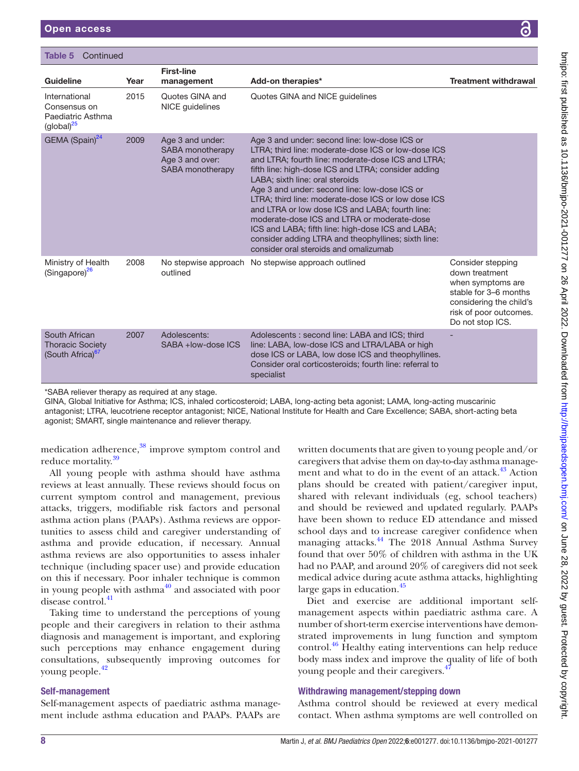| Table 5<br>Continued                                                                    |      |                                                                             |                                                                                                                                                                                                                                                                                                                                                                                                                                                                                                                                                                                                                     |                                                                                                                                                            |
|-----------------------------------------------------------------------------------------|------|-----------------------------------------------------------------------------|---------------------------------------------------------------------------------------------------------------------------------------------------------------------------------------------------------------------------------------------------------------------------------------------------------------------------------------------------------------------------------------------------------------------------------------------------------------------------------------------------------------------------------------------------------------------------------------------------------------------|------------------------------------------------------------------------------------------------------------------------------------------------------------|
| Guideline                                                                               | Year | <b>First-line</b><br>management                                             | Add-on therapies*                                                                                                                                                                                                                                                                                                                                                                                                                                                                                                                                                                                                   | <b>Treatment withdrawal</b>                                                                                                                                |
| International<br>Consensus on<br>Paediatric Asthma<br>$\left(\text{global}\right)^{25}$ | 2015 | Quotes GINA and<br>NICE guidelines                                          | Quotes GINA and NICE guidelines                                                                                                                                                                                                                                                                                                                                                                                                                                                                                                                                                                                     |                                                                                                                                                            |
| GEMA (Spain) <sup>24</sup>                                                              | 2009 | Age 3 and under:<br>SABA monotherapy<br>Age 3 and over:<br>SABA monotherapy | Age 3 and under: second line: low-dose ICS or<br>LTRA; third line: moderate-dose ICS or low-dose ICS<br>and LTRA; fourth line: moderate-dose ICS and LTRA;<br>fifth line: high-dose ICS and LTRA; consider adding<br>LABA; sixth line: oral steroids<br>Age 3 and under: second line: low-dose ICS or<br>LTRA; third line: moderate-dose ICS or low dose ICS<br>and LTRA or low dose ICS and LABA; fourth line:<br>moderate-dose ICS and LTRA or moderate-dose<br>ICS and LABA; fifth line: high-dose ICS and LABA;<br>consider adding LTRA and theophyllines; sixth line:<br>consider oral steroids and omalizumab |                                                                                                                                                            |
| Ministry of Health<br>(Singapore) <sup>26</sup>                                         | 2008 | No stepwise approach<br>outlined                                            | No stepwise approach outlined                                                                                                                                                                                                                                                                                                                                                                                                                                                                                                                                                                                       | Consider stepping<br>down treatment<br>when symptoms are<br>stable for 3–6 months<br>considering the child's<br>risk of poor outcomes.<br>Do not stop ICS. |
| South African<br><b>Thoracic Society</b><br>(South Africa) <sup>67</sup>                | 2007 | Adolescents:<br>SABA +low-dose ICS                                          | Adolescents : second line: LABA and ICS; third<br>line: LABA, low-dose ICS and LTRA/LABA or high<br>dose ICS or LABA, low dose ICS and theophyllines.<br>Consider oral corticosteroids; fourth line: referral to<br>specialist                                                                                                                                                                                                                                                                                                                                                                                      |                                                                                                                                                            |

\*SABA reliever therapy as required at any stage.

GINA, Global Initiative for Asthma; ICS, inhaled corticosteroid; LABA, long-acting beta agonist; LAMA, long-acting muscarinic antagonist; LTRA, leucotriene receptor antagonist; NICE, National Institute for Health and Care Excellence; SABA, short-acting beta agonist; SMART, single maintenance and reliever therapy.

medication adherence,<sup>38</sup> improve symptom control and reduce mortality.<sup>[39](#page-11-12)</sup>

All young people with asthma should have asthma reviews at least annually. These reviews should focus on current symptom control and management, previous attacks, triggers, modifiable risk factors and personal asthma action plans (PAAPs). Asthma reviews are opportunities to assess child and caregiver understanding of asthma and provide education, if necessary. Annual asthma reviews are also opportunities to assess inhaler technique (including spacer use) and provide education on this if necessary. Poor inhaler technique is common in young people with asthma $40$  and associated with poor disease control.<sup>[41](#page-11-14)</sup>

Taking time to understand the perceptions of young people and their caregivers in relation to their asthma diagnosis and management is important, and exploring such perceptions may enhance engagement during consultations, subsequently improving outcomes for young people.[42](#page-11-15)

# Self-management

Self-management aspects of paediatric asthma management include asthma education and PAAPs. PAAPs are

written documents that are given to young people and/or caregivers that advise them on day-to-day asthma management and what to do in the event of an attack.<sup>43</sup> Action plans should be created with patient/caregiver input, shared with relevant individuals (eg, school teachers) and should be reviewed and updated regularly. PAAPs have been shown to reduce ED attendance and missed school days and to increase caregiver confidence when managing attacks.<sup>44</sup> The 2018 Annual Asthma Survey found that over 50% of children with asthma in the UK had no PAAP, and around 20% of caregivers did not seek medical advice during acute asthma attacks, highlighting large gaps in education.<sup>[45](#page-11-18)</sup>

Diet and exercise are additional important selfmanagement aspects within paediatric asthma care. A number of short-term exercise interventions have demonstrated improvements in lung function and symptom control.<sup>46</sup> Healthy eating interventions can help reduce body mass index and improve the quality of life of both young people and their caregivers.<sup>47</sup>

# Withdrawing management/stepping down

Asthma control should be reviewed at every medical contact. When asthma symptoms are well controlled on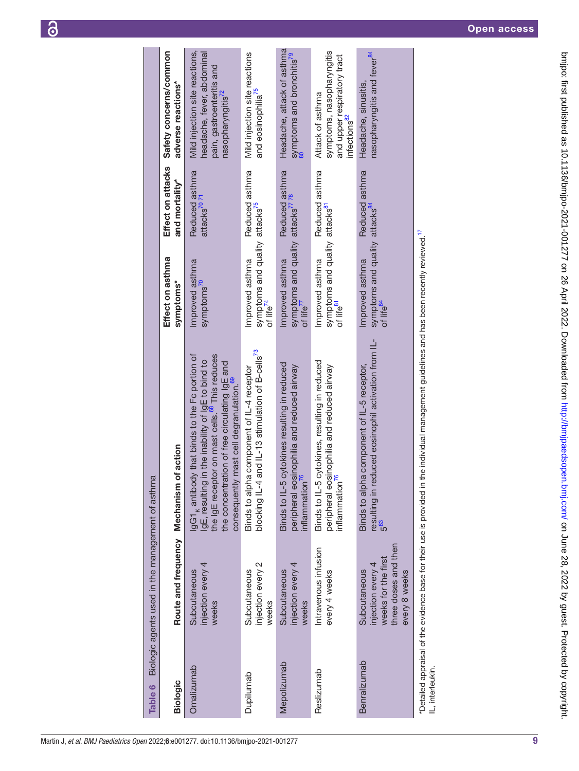<span id="page-8-0"></span>

| Martin J, et al. BMJ Paediatrics Open 2022;6:e001277. doi:10.1136/bmjpo-2021-001277 |  |
|-------------------------------------------------------------------------------------|--|
|-------------------------------------------------------------------------------------|--|

| Table 6         | Biologic agents used in the management of asthma                                                  |                                                                                                                                                                                                                                                                                       |                                                                                          |                                           |                                                                                                                            |
|-----------------|---------------------------------------------------------------------------------------------------|---------------------------------------------------------------------------------------------------------------------------------------------------------------------------------------------------------------------------------------------------------------------------------------|------------------------------------------------------------------------------------------|-------------------------------------------|----------------------------------------------------------------------------------------------------------------------------|
| <b>Biologic</b> | Route and frequency Mechanism of action                                                           |                                                                                                                                                                                                                                                                                       | Effect on asthma<br>symptoms*                                                            | Effect on attacks<br>and mortality*       | Safety concerns/common<br>adverse reactions*                                                                               |
| Omalizumab      | injection every 4<br>Subcutaneous<br>weeks                                                        | IgG1 <sub>k</sub> antibody that binds to the Fc portion of<br>the IgE receptor on mast cells. <sup>68</sup> This reduces<br>IgE, resulting in the inability of IgE to bind to<br>the concentration of free circulating IgE and<br>consequently mast cell degranulation. <sup>69</sup> | Improved asthma<br>symptoms <sup>(U</sup>                                                | Reduced asthma<br>attacks <sup>7071</sup> | Mild injection site reactions,<br>headache, fever, abdominal<br>pain, gastroenteritis and<br>nasopharyngitis <sup>72</sup> |
| Dupilumab       | injection every 2<br>Subcutaneous<br>weeks                                                        | blocking IL-4 and IL-13 stimulation of B-cells <sup>73</sup><br>ha component of IL-4 receptor<br>Binds to alph                                                                                                                                                                        | symptoms and quality attacks <sup>75</sup><br>of life <sup>74</sup><br>Improved asthma   | Reduced asthma                            | Mild injection site reactions<br>and eosinophilia <sup>7</sup>                                                             |
| Mepolizumab     | injection every 4<br>Subcutaneous<br>weeks                                                        | Binds to IL-5 cytokines resulting in reduced<br>peripheral eosinophilia and reduced airway<br>inflammation                                                                                                                                                                            | symptoms and quality attacks <sup>7778</sup><br>Improved asthma<br>of life <sup>77</sup> | Reduced asthma                            | Headache, attack of asthma<br>symptoms and bronchitis <sup>79</sup>                                                        |
| Reslizumab      | Intravenous infusion<br>every 4 weeks                                                             | Binds to IL-5 cytokines, resulting in reduced<br>inflammation                                                                                                                                                                                                                         | symptoms and quality attacks <sup>81</sup><br>Improved asthma<br>of life <sup>81</sup>   | Reduced asthma                            | symptoms, nasopharyngitis<br>and upper respiratory tract<br>Attack of asthma<br>infections <sup>82</sup>                   |
| Benralizumab    | three doses and then<br>weeks for the first<br>injection every 4<br>Subcutaneous<br>every 8 weeks | resulting in reduced eosinophil activation from IL-<br>Binds to alpha component of IL-5 receptor,<br>583                                                                                                                                                                              | symptoms and quality attacks <sup>84</sup><br>Improved asthma<br>of life <sup>84</sup>   | Reduced asthma                            | nasopharyngitis and fever <sup>84</sup><br>Headache, sinusitis,                                                            |
|                 |                                                                                                   |                                                                                                                                                                                                                                                                                       | $-17$                                                                                    |                                           |                                                                                                                            |

"Detailed appraisal of the evidence base for their use is provided in the individual management guidelines and has been recently reviewed.<sup>17</sup><br>IL, interleukin.  $\tau$ Detailed appraisal of the evidence base for their use is provided in the individual management guidelines and has been recently reviewed.<sup>[17](#page-10-16)</sup> IL, interleukin.

bmjpo: tirst published as 10.1136/bmjpo-2021-001277 on 26 April 2022. Downloaded from <http://bmjpaedsopen.bmj.com/> on June 28, 2022 by guest. Protected by copyright.

bmipo: first published as 10.1136/bmipo-2021-001277 on 26 April 2022. Downloaded from http://bmipaedsopen.bmj.com/ on June 28, 2022 by guest. Protected by copyright.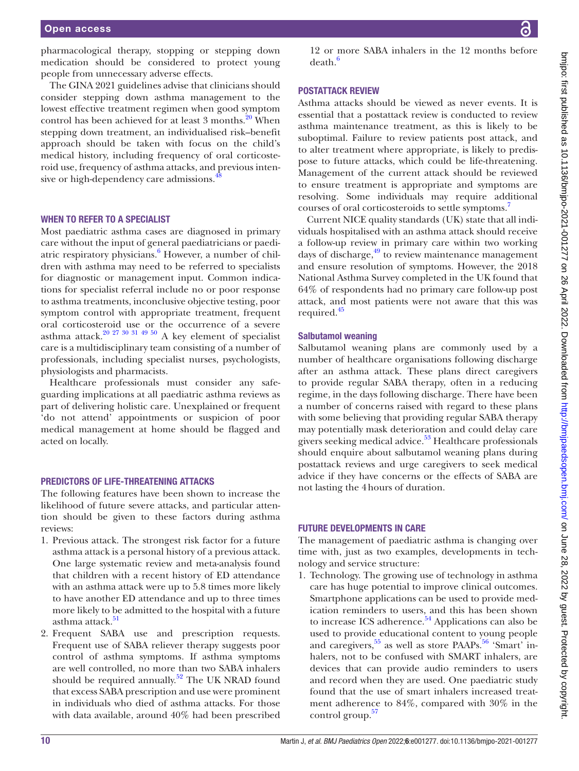pharmacological therapy, stopping or stepping down medication should be considered to protect young people from unnecessary adverse effects.

The GINA 2021 guidelines advise that clinicians should consider stepping down asthma management to the lowest effective treatment regimen when good symptom control has been achieved for at least 3 months.<sup>[20](#page-10-20)</sup> When stepping down treatment, an individualised risk–benefit approach should be taken with focus on the child's medical history, including frequency of oral corticosteroid use, frequency of asthma attacks, and previous intensive or high-dependency care admissions.<sup>4</sup>

# WHEN TO REFER TO A SPECIALIST

Most paediatric asthma cases are diagnosed in primary care without the input of general paediatricians or paedi-atric respiratory physicians.<sup>[6](#page-10-5)</sup> However, a number of children with asthma may need to be referred to specialists for diagnostic or management input. Common indications for specialist referral include no or poor response to asthma treatments, inconclusive objective testing, poor symptom control with appropriate treatment, frequent oral corticosteroid use or the occurrence of a severe asthma attack.<sup>20 27 30 31 49 50</sup> A key element of specialist care is a multidisciplinary team consisting of a number of professionals, including specialist nurses, psychologists, physiologists and pharmacists.

Healthcare professionals must consider any safeguarding implications at all paediatric asthma reviews as part of delivering holistic care. Unexplained or frequent 'do not attend' appointments or suspicion of poor medical management at home should be flagged and acted on locally.

# PREDICTORS OF LIFE-THREATENING ATTACKS

The following features have been shown to increase the likelihood of future severe attacks, and particular attention should be given to these factors during asthma reviews:

- 1. Previous attack. The strongest risk factor for a future asthma attack is a personal history of a previous attack. One large systematic review and meta-analysis found that children with a recent history of ED attendance with an asthma attack were up to 5.8 times more likely to have another ED attendance and up to three times more likely to be admitted to the hospital with a future asthma attack.<sup>51</sup>
- 2. Frequent SABA use and prescription requests. Frequent use of SABA reliever therapy suggests poor control of asthma symptoms. If asthma symptoms are well controlled, no more than two SABA inhalers should be required annually.<sup>[52](#page-11-38)</sup> The UK NRAD found that excess SABA prescription and use were prominent in individuals who died of asthma attacks. For those with data available, around 40% had been prescribed

12 or more SABA inhalers in the 12 months before death[.6](#page-10-5)

# POSTATTACK REVIEW

Asthma attacks should be viewed as never events. It is essential that a postattack review is conducted to review asthma maintenance treatment, as this is likely to be suboptimal. Failure to review patients post attack, and to alter treatment where appropriate, is likely to predispose to future attacks, which could be life-threatening. Management of the current attack should be reviewed to ensure treatment is appropriate and symptoms are resolving. Some individuals may require additional courses of oral corticosteroids to settle symptoms[.7](#page-10-6)

Current NICE quality standards (UK) state that all individuals hospitalised with an asthma attack should receive a follow-up review in primary care within two working days of discharge, $49$  to review maintenance management and ensure resolution of symptoms. However, the 2018 National Asthma Survey completed in the UK found that 64% of respondents had no primary care follow-up post attack, and most patients were not aware that this was required[.45](#page-11-18)

#### Salbutamol weaning

Salbutamol weaning plans are commonly used by a number of healthcare organisations following discharge after an asthma attack. These plans direct caregivers to provide regular SABA therapy, often in a reducing regime, in the days following discharge. There have been a number of concerns raised with regard to these plans with some believing that providing regular SABA therapy may potentially mask deterioration and could delay care givers seeking medical advice.<sup>53</sup> Healthcare professionals should enquire about salbutamol weaning plans during postattack reviews and urge caregivers to seek medical advice if they have concerns or the effects of SABA are not lasting the 4hours of duration.

#### FUTURE DEVELOPMENTS IN CARE

The management of paediatric asthma is changing over time with, just as two examples, developments in technology and service structure:

1. Technology. The growing use of technology in asthma care has huge potential to improve clinical outcomes. Smartphone applications can be used to provide medication reminders to users, and this has been shown to increase ICS adherence.<sup>54</sup> Applications can also be used to provide educational content to young people and caregivers,  $55$  as well as store PAAPs.  $56$  'Smart' inhalers, not to be confused with SMART inhalers, are devices that can provide audio reminders to users and record when they are used. One paediatric study found that the use of smart inhalers increased treatment adherence to 84%, compared with 30% in the control group.<sup>57</sup>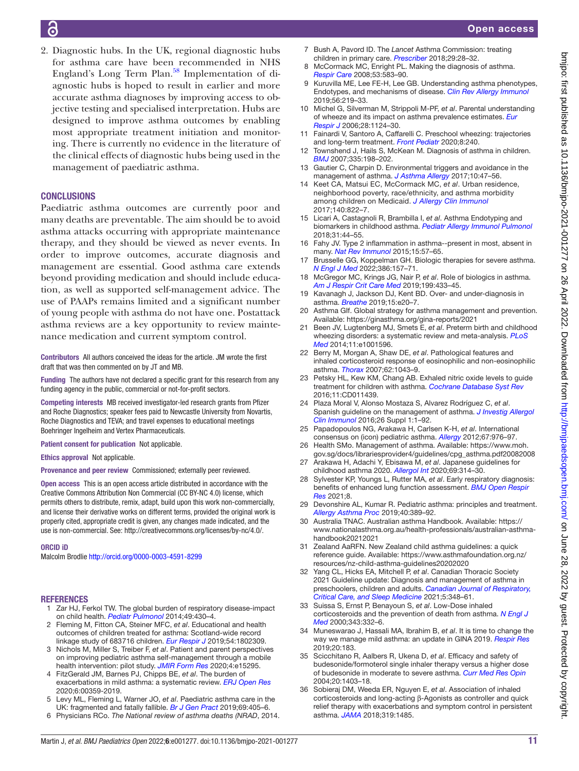# 6

2. Diagnostic hubs. In the UK, regional diagnostic hubs for asthma care have been recommended in NHS England's Long Term Plan. $58$  Implementation of diagnostic hubs is hoped to result in earlier and more accurate asthma diagnoses by improving access to objective testing and specialised interpretation. Hubs are designed to improve asthma outcomes by enabling most appropriate treatment initiation and monitoring. There is currently no evidence in the literature of the clinical effects of diagnostic hubs being used in the management of paediatric asthma.

# **CONCLUSIONS**

Paediatric asthma outcomes are currently poor and many deaths are preventable. The aim should be to avoid asthma attacks occurring with appropriate maintenance therapy, and they should be viewed as never events. In order to improve outcomes, accurate diagnosis and management are essential. Good asthma care extends beyond providing medication and should include education, as well as supported self-management advice. The use of PAAPs remains limited and a significant number of young people with asthma do not have one. Postattack asthma reviews are a key opportunity to review maintenance medication and current symptom control.

Contributors All authors conceived the ideas for the article. JM wrote the first draft that was then commented on by JT and MB.

Funding The authors have not declared a specific grant for this research from any funding agency in the public, commercial or not-for-profit sectors.

Competing interests MB received investigator-led research grants from Pfizer and Roche Diagnostics; speaker fees paid to Newcastle University from Novartis, Roche Diagnostics and TEVA; and travel expenses to educational meetings Boehringer Ingelheim and Vertex Pharmaceuticals.

Patient consent for publication Not applicable.

Ethics approval Not applicable.

Provenance and peer review Commissioned; externally peer reviewed.

Open access This is an open access article distributed in accordance with the Creative Commons Attribution Non Commercial (CC BY-NC 4.0) license, which permits others to distribute, remix, adapt, build upon this work non-commercially, and license their derivative works on different terms, provided the original work is properly cited, appropriate credit is given, any changes made indicated, and the use is non-commercial. See:<http://creativecommons.org/licenses/by-nc/4.0/>.

#### ORCID iD

Malcolm Brodlie <http://orcid.org/0000-0003-4591-8299>

#### **REFERENCES**

- <span id="page-10-0"></span>1 Zar HJ, Ferkol TW. The global burden of respiratory disease-impact on child health. *[Pediatr Pulmonol](http://dx.doi.org/10.1002/ppul.23030)* 2014;49:430–4.
- <span id="page-10-1"></span>2 Fleming M, Fitton CA, Steiner MFC, *et al*. Educational and health outcomes of children treated for asthma: Scotland-wide record linkage study of 683716 children. *[Eur Respir J](http://dx.doi.org/10.1183/13993003.02309-2018)* 2019;54:1802309.
- <span id="page-10-2"></span>3 Nichols M, Miller S, Treiber F, *et al*. Patient and parent perspectives on improving pediatric asthma self-management through a mobile health intervention: pilot study. *[JMIR Form Res](http://dx.doi.org/10.2196/15295)* 2020;4:e15295.
- <span id="page-10-3"></span>4 FitzGerald JM, Barnes PJ, Chipps BE, *et al*. The burden of exacerbations in mild asthma: a systematic review. *[ERJ Open Res](http://dx.doi.org/10.1183/23120541.00359-2019)* 2020;6:00359-2019.
- <span id="page-10-4"></span>5 Levy ML, Fleming L, Warner JO, *et al*. Paediatric asthma care in the UK: fragmented and fatally fallible. *[Br J Gen Pract](http://dx.doi.org/10.3399/bjgp19X704933)* 2019;69:405–6.
- <span id="page-10-5"></span>6 Physicians RCo. *The National review of asthma deaths (NRAD*, 2014.
- <span id="page-10-6"></span>7 Bush A, Pavord ID. The *Lancet* Asthma Commission: treating children in primary care. *[Prescriber](http://dx.doi.org/10.1002/psb.1719)* 2018;29:28–32.
- <span id="page-10-7"></span>McCormack MC, Enright PL. Making the diagnosis of asthma. *[Respir Care](http://www.ncbi.nlm.nih.gov/pubmed/18426612)* 2008;53:583–90.
- <span id="page-10-8"></span>9 Kuruvilla ME, Lee FE-H, Lee GB. Understanding asthma phenotypes, Endotypes, and mechanisms of disease. *[Clin Rev Allergy Immunol](http://dx.doi.org/10.1007/s12016-018-8712-1)* 2019;56:219–33.
- <span id="page-10-9"></span>10 Michel G, Silverman M, Strippoli M-PF, *et al*. Parental understanding of wheeze and its impact on asthma prevalence estimates. *[Eur](http://dx.doi.org/10.1183/09031936.06.00008406)  [Respir J](http://dx.doi.org/10.1183/09031936.06.00008406)* 2006;28:1124–30.
- <span id="page-10-10"></span>11 Fainardi V, Santoro A, Caffarelli C. Preschool wheezing: trajectories and long-term treatment. *[Front Pediatr](http://dx.doi.org/10.3389/fped.2020.00240)* 2020;8:240.
- <span id="page-10-11"></span>12 Townshend J, Hails S, McKean M. Diagnosis of asthma in children. *[BMJ](http://dx.doi.org/10.1136/bmj.39234.651412.AE)* 2007;335:198–202.
- <span id="page-10-12"></span>13 Gautier C, Charpin D. Environmental triggers and avoidance in the management of asthma. *[J Asthma Allergy](http://dx.doi.org/10.2147/JAA.S121276)* 2017;10:47–56.
- <span id="page-10-13"></span>14 Keet CA, Matsui EC, McCormack MC, *et al*. Urban residence, neighborhood poverty, race/ethnicity, and asthma morbidity among children on Medicaid. *[J Allergy Clin Immunol](http://dx.doi.org/10.1016/j.jaci.2017.01.036)* 2017;140:822–7.
- <span id="page-10-14"></span>15 Licari A, Castagnoli R, Brambilla I, *et al*. Asthma Endotyping and biomarkers in childhood asthma. *[Pediatr Allergy Immunol Pulmonol](http://dx.doi.org/10.1089/ped.2018.0886)* 2018;31:44–55.
- <span id="page-10-15"></span>16 Fahy JV. Type 2 inflammation in asthma--present in most, absent in many. *[Nat Rev Immunol](http://dx.doi.org/10.1038/nri3786)* 2015;15:57–65.
- <span id="page-10-16"></span>17 Brusselle GG, Koppelman GH. Biologic therapies for severe asthma. *[N Engl J Med](http://dx.doi.org/10.1056/NEJMra2032506)* 2022;386:157–71.
- <span id="page-10-17"></span>18 McGregor MC, Krings JG, Nair P, *et al*. Role of biologics in asthma. *[Am J Respir Crit Care Med](http://dx.doi.org/10.1164/rccm.201810-1944CI)* 2019;199:433–45.
- <span id="page-10-18"></span>19 Kavanagh J, Jackson DJ, Kent BD. Over- and under-diagnosis in asthma. *[Breathe](http://dx.doi.org/10.1183/20734735.0362-2018)* 2019;15:e20–7.
- <span id="page-10-20"></span>20 Asthma GIf. Global strategy for asthma management and prevention. Available: <https://ginasthma.org/gina-reports/2021>
- <span id="page-10-19"></span>21 Been JV, Lugtenberg MJ, Smets E, *et al*. Preterm birth and childhood wheezing disorders: a systematic review and meta-analysis. *[PLoS](http://dx.doi.org/10.1371/journal.pmed.1001596)  [Med](http://dx.doi.org/10.1371/journal.pmed.1001596)* 2014;11:e1001596.
- <span id="page-10-21"></span>22 Berry M, Morgan A, Shaw DE, *et al*. Pathological features and inhaled corticosteroid response of eosinophilic and non-eosinophilic asthma. *[Thorax](http://dx.doi.org/10.1136/thx.2006.073429)* 2007;62:1043–9.
- <span id="page-10-22"></span>23 Petsky HL, Kew KM, Chang AB. Exhaled nitric oxide levels to guide treatment for children with asthma. *[Cochrane Database Syst Rev](http://dx.doi.org/10.1002/14651858.CD011439.pub2)* 2016;11:CD011439.
- <span id="page-10-23"></span>24 Plaza Moral V, Alonso Mostaza S, Alvarez Rodríguez C, *et al*. Spanish guideline on the management of asthma. *[J Investig Allergol](http://dx.doi.org/10.18176/jiaci.0065)  [Clin Immunol](http://dx.doi.org/10.18176/jiaci.0065)* 2016;26 Suppl 1:1–92.
- <span id="page-10-31"></span>25 Papadopoulos NG, Arakawa H, Carlsen K-H, *et al*. International consensus on (icon) pediatric asthma. *[Allergy](http://dx.doi.org/10.1111/j.1398-9995.2012.02865.x)* 2012;67:976–97.
- <span id="page-10-32"></span>26 Health SMo. Management of asthma. Available: [https://www.moh.](https://www.moh.gov.sg/docs/librariesprovider4/guidelines/cpg_asthma.pdf20082008) [gov.sg/docs/librariesprovider4/guidelines/cpg\\_asthma.pdf20082008](https://www.moh.gov.sg/docs/librariesprovider4/guidelines/cpg_asthma.pdf20082008)
- <span id="page-10-26"></span>27 Arakawa H, Adachi Y, Ebisawa M, *et al*. Japanese guidelines for childhood asthma 2020. *[Allergol Int](http://dx.doi.org/10.1016/j.alit.2020.02.005)* 2020;69:314–30. 28 Sylvester KP, Youngs L, Rutter MA, *et al*. Early respiratory diagnosis:
- <span id="page-10-24"></span>benefits of enhanced lung function assessment. *[BMJ Open Respir](http://dx.doi.org/10.1136/bmjresp-2021-001012)  [Res](http://dx.doi.org/10.1136/bmjresp-2021-001012)* 2021;8.
- <span id="page-10-25"></span>29 Devonshire AL, Kumar R. Pediatric asthma: principles and treatment. *[Allergy Asthma Proc](http://dx.doi.org/10.2500/aap.2019.40.4254)* 2019;40:389–92.
- <span id="page-10-28"></span>30 Australia TNAC. Australian asthma Handbook. Available: [https://](https://www.nationalasthma.org.au/health-professionals/australian-asthma-handbook20212021) [www.nationalasthma.org.au/health-professionals/australian-asthma](https://www.nationalasthma.org.au/health-professionals/australian-asthma-handbook20212021)[handbook20212021](https://www.nationalasthma.org.au/health-professionals/australian-asthma-handbook20212021)
- <span id="page-10-29"></span>31 Zealand AaRFN. New Zealand child asthma guidelines: a quick reference guide. Available: [https://www.asthmafoundation.org.nz/](https://www.asthmafoundation.org.nz/resources/nz-child-asthma-guidelines20202020) [resources/nz-child-asthma-guidelines20202020](https://www.asthmafoundation.org.nz/resources/nz-child-asthma-guidelines20202020)
- <span id="page-10-27"></span>32 Yang CL, Hicks EA, Mitchell P, *et al*. Canadian Thoracic Society 2021 Guideline update: Diagnosis and management of asthma in preschoolers, children and adults. *[Canadian Journal of Respiratory,](http://dx.doi.org/10.1080/24745332.2021.1945887)  [Critical Care, and Sleep Medicine](http://dx.doi.org/10.1080/24745332.2021.1945887)* 2021;5:348–61.
- <span id="page-10-30"></span>33 Suissa S, Ernst P, Benayoun S, *et al*. Low-Dose inhaled corticosteroids and the prevention of death from asthma. *[N Engl J](http://dx.doi.org/10.1056/NEJM200008033430504)  [Med](http://dx.doi.org/10.1056/NEJM200008033430504)* 2000;343:332–6.
- <span id="page-10-33"></span>34 Muneswarao J, Hassali MA, Ibrahim B, *et al*. It is time to change the way we manage mild asthma: an update in GINA 2019. *[Respir Res](http://dx.doi.org/10.1186/s12931-019-1159-y)* 2019;20:183.
- <span id="page-10-34"></span>35 Scicchitano R, Aalbers R, Ukena D, *et al*. Efficacy and safety of budesonide/formoterol single inhaler therapy versus a higher dose of budesonide in moderate to severe asthma. *[Curr Med Res Opin](http://dx.doi.org/10.1185/030079904X2051)* 2004;20:1403–18.
- <span id="page-10-35"></span>36 Sobieraj DM, Weeda ER, Nguyen E, *et al*. Association of inhaled corticosteroids and long-acting β-Agonists as controller and quick relief therapy with exacerbations and symptom control in persistent asthma. *[JAMA](http://dx.doi.org/10.1001/jama.2018.2769)* 2018;319:1485.